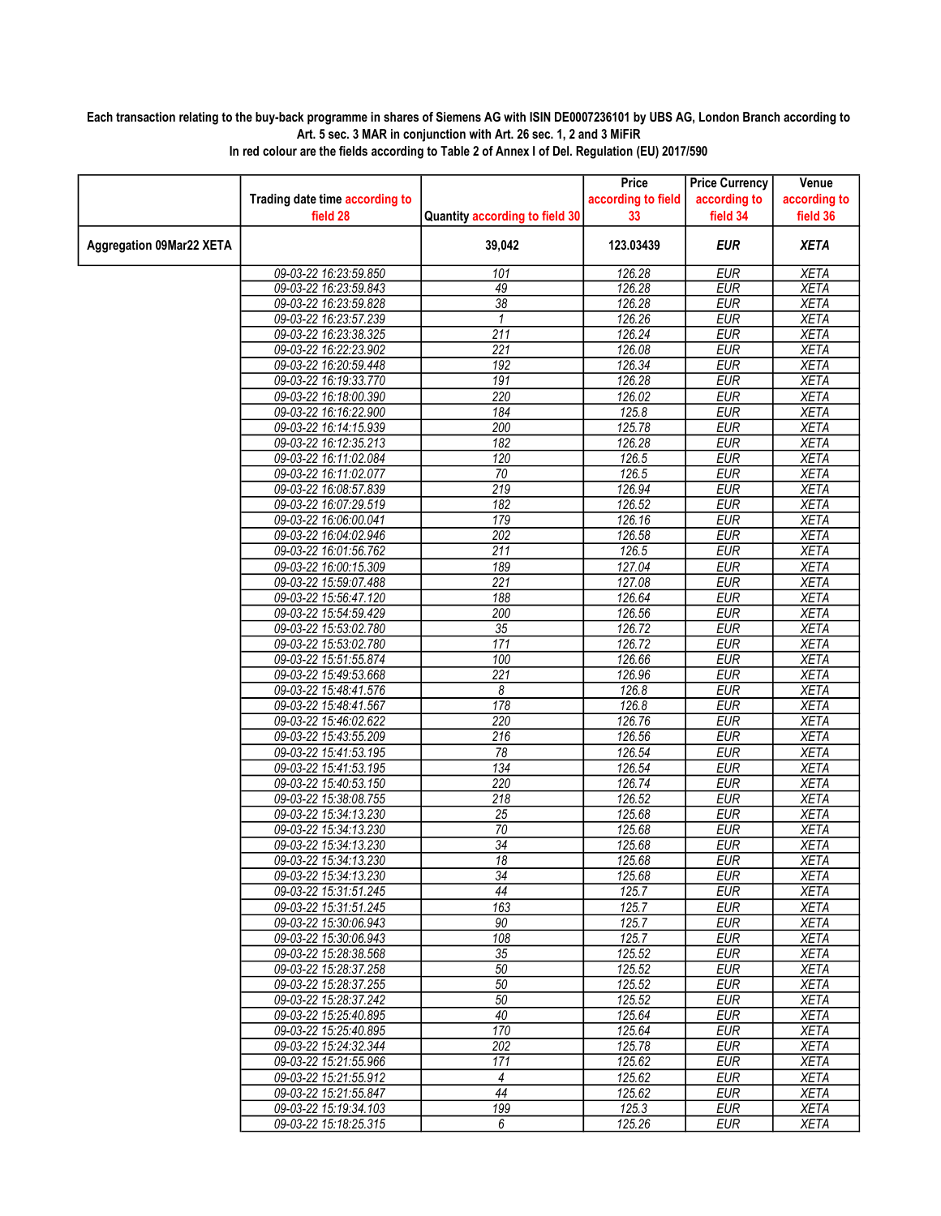## Each transaction relating to the buy-back programme in shares of Siemens AG with ISIN DE0007236101 by UBS AG, London Branch according to Art. 5 sec. 3 MAR in conjunction with Art. 26 sec. 1, 2 and 3 MiFiR

|                                 |                                                |                                | Price              | <b>Price Currency</b>    | Venue                      |
|---------------------------------|------------------------------------------------|--------------------------------|--------------------|--------------------------|----------------------------|
|                                 | Trading date time according to                 |                                | according to field | according to             | according to               |
|                                 | field 28                                       | Quantity according to field 30 | 33                 | field 34                 | field 36                   |
| <b>Aggregation 09Mar22 XETA</b> |                                                | 39,042                         | 123.03439          | <b>EUR</b>               | <b>XETA</b>                |
|                                 | 09-03-22 16:23:59.850                          | 101                            | 126.28             | <b>EUR</b>               | <b>XETA</b>                |
|                                 | 09-03-22 16:23:59.843                          | 49                             | 126.28             | <b>EUR</b>               | <b>XETA</b>                |
|                                 | 09-03-22 16:23:59.828                          | 38                             | 126.28             | <b>EUR</b>               | <b>XETA</b>                |
|                                 | 09-03-22 16:23:57.239                          | $\mathbf{1}$                   | 126.26             | <b>EUR</b>               | <b>XETA</b>                |
|                                 | 09-03-22 16:23:38.325                          | $\overline{211}$               | 126.24             | EUR                      | <b>XETA</b>                |
|                                 | 09-03-22 16:22:23.902                          | $\overline{221}$               | 126.08             | <b>EUR</b>               | <b>XETA</b>                |
|                                 | 09-03-22 16:20:59.448                          | 192                            | 126.34             | <b>EUR</b>               | <b>XETA</b>                |
|                                 | 09-03-22 16:19:33.770                          | 191                            | 126.28             | <b>EUR</b>               | <b>XETA</b>                |
|                                 | 09-03-22 16:18:00.390                          | 220                            | 126.02             | <b>EUR</b>               | <b>XETA</b>                |
|                                 | 09-03-22 16:16:22.900                          | 184                            | 125.8              | <b>EUR</b>               | <b>XETA</b>                |
|                                 | 09-03-22 16:14:15.939                          | 200                            | 125.78             | <b>EUR</b>               | <b>XETA</b>                |
|                                 | 09-03-22 16:12:35.213                          | 182                            | 126.28             | <b>EUR</b>               | <b>XETA</b>                |
|                                 | 09-03-22 16:11:02.084                          | 120                            | 126.5              | <b>EUR</b>               | <b>XETA</b>                |
|                                 | 09-03-22 16:11:02.077                          | 70                             | 126.5              | <b>EUR</b>               | <b>XETA</b>                |
|                                 | 09-03-22 16:08:57.839                          | 219                            | 126.94             | <b>EUR</b>               | <b>XETA</b>                |
|                                 | 09-03-22 16:07:29.519                          | 182                            | 126.52             | <b>EUR</b>               | <b>XETA</b>                |
|                                 | 09-03-22 16:06:00.041                          | 179                            | 126.16             | <b>EUR</b>               | <b>XETA</b>                |
|                                 | 09-03-22 16:04:02.946                          | $\overline{202}$               | 126.58             | <b>EUR</b>               | <b>XETA</b>                |
|                                 | 09-03-22 16:01:56.762                          | $\overline{211}$               | 126.5              | <b>EUR</b>               | <b>XETA</b>                |
|                                 | 09-03-22 16:00:15.309                          | 189                            | 127.04             | <b>EUR</b>               | <b>XETA</b>                |
|                                 | 09-03-22 15:59:07.488                          | $\overline{221}$               | 127.08             | <b>EUR</b>               | <b>XETA</b>                |
|                                 | 09-03-22 15:56:47.120                          | 188                            | 126.64             | <b>EUR</b>               | <b>XETA</b>                |
|                                 | 09-03-22 15:54:59.429                          | 200                            | 126.56             | <b>EUR</b>               | <b>XETA</b>                |
|                                 | 09-03-22 15:53:02.780                          | $\overline{35}$                | 126.72             | <b>EUR</b>               | <b>XETA</b>                |
|                                 | 09-03-22 15:53:02.780                          | $\overline{171}$               | 126.72             | <b>EUR</b>               | <b>XETA</b>                |
|                                 | 09-03-22 15:51:55.874                          | 100                            | 126.66             | <b>EUR</b>               | <b>XETA</b>                |
|                                 | 09-03-22 15:49:53.668                          | $\overline{221}$               | 126.96             | <b>EUR</b>               | <b>XETA</b>                |
|                                 | 09-03-22 15:48:41.576                          | 8                              | 126.8              | <b>EUR</b>               | <b>XETA</b>                |
|                                 | 09-03-22 15:48:41.567                          | 178                            | 126.8              | <b>EUR</b>               | <b>XETA</b>                |
|                                 | 09-03-22 15:46:02.622                          | 220                            | 126.76             | <b>EUR</b>               | <b>XETA</b>                |
|                                 | 09-03-22 15:43:55.209                          | $\overline{216}$               | 126.56             | <b>EUR</b>               | <b>XETA</b>                |
|                                 | 09-03-22 15:41:53.195                          | $\overline{78}$                | 126.54<br>126.54   | <b>EUR</b>               | <b>XETA</b>                |
|                                 | 09-03-22 15:41:53.195                          | 134                            |                    | <b>EUR</b>               | <b>XETA</b>                |
|                                 | 09-03-22 15:40:53.150                          | 220                            | 126.74             | <b>EUR</b>               | <b>XETA</b>                |
|                                 | 09-03-22 15:38:08.755                          | 218<br>$\overline{25}$         | 126.52<br>125.68   | EUR                      | XETA                       |
|                                 | 09-03-22 15:34:13.230                          | 70                             | 125.68             | <b>EUR</b><br><b>EUR</b> | <b>XETA</b>                |
|                                 | 09-03-22 15:34:13.230<br>09-03-22 15:34:13.230 | $\overline{34}$                | 125.68             | <b>EUR</b>               | <b>XETA</b><br><b>XETA</b> |
|                                 | 09-03-22 15:34:13.230                          | 18                             | 125.68             | <b>EUR</b>               | <b>XETA</b>                |
|                                 | 09-03-22 15:34:13.230                          | 34                             | 125.68             | <b>EUR</b>               | <b>XETA</b>                |
|                                 | 09-03-22 15:31:51.245                          | 44                             | 125.7              | EUR                      | XETA                       |
|                                 | 09-03-22 15:31:51.245                          | 163                            | 125.7              | <b>EUR</b>               | <b>XETA</b>                |
|                                 | 09-03-22 15:30:06.943                          | 90                             | 125.7              | <b>EUR</b>               | <b>XETA</b>                |
|                                 | 09-03-22 15:30:06.943                          | 108                            | 125.7              | <b>EUR</b>               | XETA                       |
|                                 | 09-03-22 15:28:38.568                          | 35                             | 125.52             | <b>EUR</b>               | <b>XETA</b>                |
|                                 | 09-03-22 15:28:37.258                          | 50                             | 125.52             | <b>EUR</b>               | <b>XETA</b>                |
|                                 | 09-03-22 15:28:37.255                          | 50                             | 125.52             | EUR                      | XETA                       |
|                                 | 09-03-22 15:28:37.242                          | 50                             | 125.52             | <b>EUR</b>               | <b>XETA</b>                |
|                                 | 09-03-22 15:25:40.895                          | 40                             | 125.64             | <b>EUR</b>               | <b>XETA</b>                |
|                                 | 09-03-22 15:25:40.895                          | 170                            | 125.64             | <b>EUR</b>               | <b>XETA</b>                |
|                                 | 09-03-22 15:24:32.344                          | $\overline{202}$               | 125.78             | <b>EUR</b>               | <b>XETA</b>                |
|                                 | 09-03-22 15:21:55.966                          | 171                            | 125.62             | <b>EUR</b>               | <b>XETA</b>                |
|                                 | 09-03-22 15:21:55.912                          | $\overline{4}$                 | 125.62             | <b>EUR</b>               | <b>XETA</b>                |
|                                 | 09-03-22 15:21:55.847                          | 44                             | 125.62             | <b>EUR</b>               | <b>XETA</b>                |
|                                 | 09-03-22 15:19:34.103                          | 199                            | 125.3              | <b>EUR</b>               | XETA                       |
|                                 | 09-03-22 15:18:25.315                          | 6                              | 125.26             | <b>EUR</b>               | <b>XETA</b>                |

In red colour are the fields according to Table 2 of Annex I of Del. Regulation (EU) 2017/590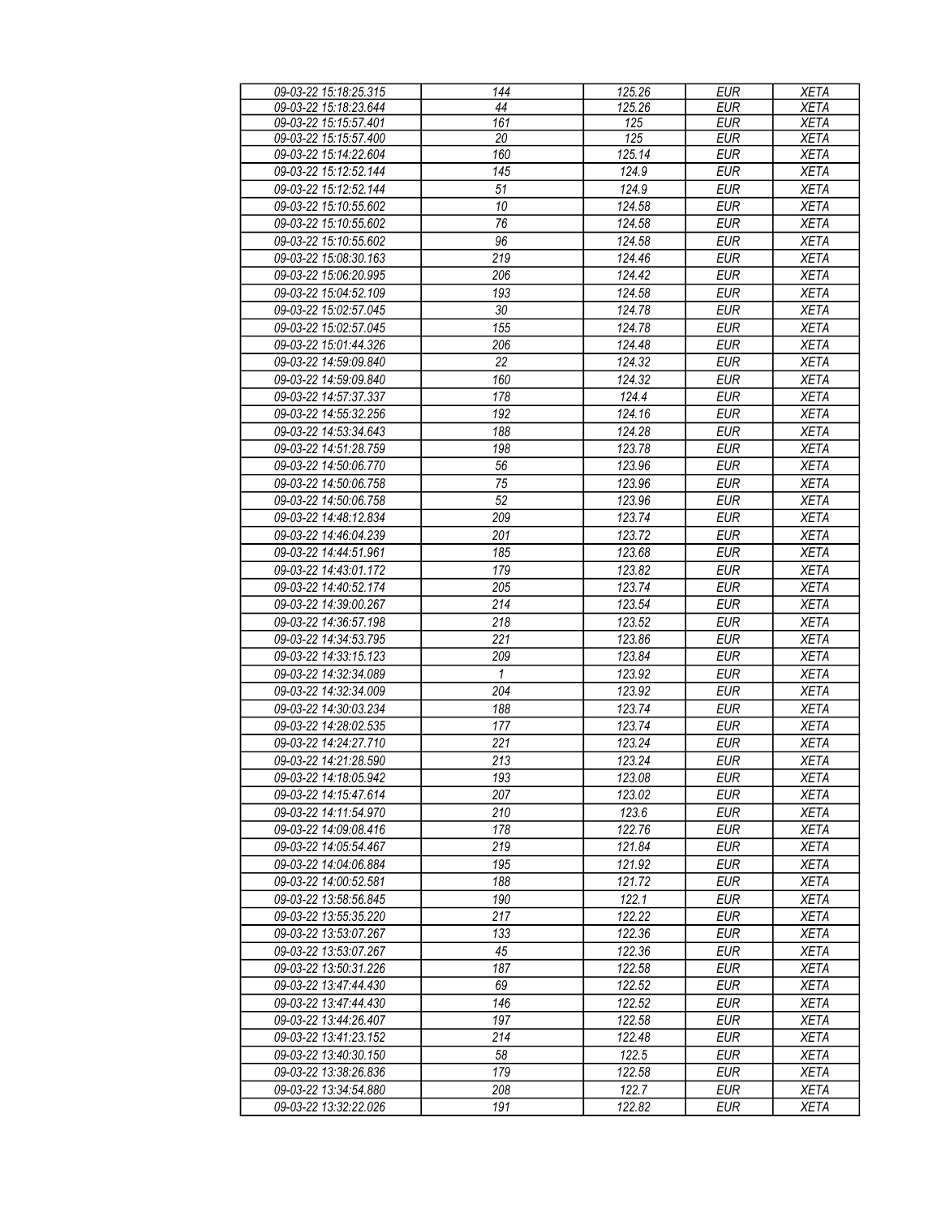| 09-03-22 15:18:25.315 | 144 | 125.26 | <b>EUR</b> | <b>XETA</b> |
|-----------------------|-----|--------|------------|-------------|
| 09-03-22 15:18:23.644 | 44  | 125.26 | <b>EUR</b> | <b>XETA</b> |
| 09-03-22 15:15:57.401 | 161 | 125    | <b>EUR</b> | <b>XETA</b> |
| 09-03-22 15:15:57.400 | 20  | 125    | <b>EUR</b> | <b>XETA</b> |
| 09-03-22 15:14:22.604 | 160 | 125.14 | <b>EUR</b> | <b>XETA</b> |
| 09-03-22 15:12:52.144 | 145 | 124.9  | <b>EUR</b> | <b>XETA</b> |
| 09-03-22 15:12:52.144 | 51  | 124.9  | <b>EUR</b> | <b>XETA</b> |
|                       |     |        |            |             |
| 09-03-22 15:10:55.602 | 10  | 124.58 | <b>EUR</b> | <b>XETA</b> |
| 09-03-22 15:10:55.602 | 76  | 124.58 | <b>EUR</b> | <b>XETA</b> |
| 09-03-22 15:10:55.602 | 96  | 124.58 | <b>EUR</b> | <b>XETA</b> |
| 09-03-22 15:08:30.163 | 219 | 124.46 | <b>EUR</b> | <b>XETA</b> |
| 09-03-22 15:06:20.995 | 206 | 124.42 | <b>EUR</b> | <b>XETA</b> |
| 09-03-22 15:04:52.109 | 193 | 124.58 | <b>EUR</b> | <b>XETA</b> |
| 09-03-22 15:02:57.045 | 30  | 124.78 | <b>EUR</b> | <b>XETA</b> |
| 09-03-22 15:02:57.045 | 155 | 124.78 | <b>EUR</b> | <b>XETA</b> |
| 09-03-22 15:01:44.326 | 206 | 124.48 | <b>EUR</b> | <b>XETA</b> |
|                       | 22  | 124.32 | <b>EUR</b> |             |
| 09-03-22 14:59:09.840 |     |        |            | <b>XETA</b> |
| 09-03-22 14:59:09.840 | 160 | 124.32 | <b>EUR</b> | <b>XETA</b> |
| 09-03-22 14:57:37.337 | 178 | 124.4  | <b>EUR</b> | <b>XETA</b> |
| 09-03-22 14:55:32.256 | 192 | 124.16 | <b>EUR</b> | <b>XETA</b> |
| 09-03-22 14:53:34.643 | 188 | 124.28 | <b>EUR</b> | <b>XETA</b> |
| 09-03-22 14:51:28.759 | 198 | 123.78 | <b>EUR</b> | <b>XETA</b> |
| 09-03-22 14:50:06.770 | 56  | 123.96 | <b>EUR</b> | <b>XETA</b> |
| 09-03-22 14:50:06.758 | 75  | 123.96 | <b>EUR</b> | <b>XETA</b> |
| 09-03-22 14:50:06.758 | 52  | 123.96 | <b>EUR</b> | <b>XETA</b> |
| 09-03-22 14:48:12.834 | 209 | 123.74 | <b>EUR</b> | <b>XETA</b> |
|                       |     |        |            |             |
| 09-03-22 14:46:04.239 | 201 | 123.72 | <b>EUR</b> | <b>XETA</b> |
| 09-03-22 14:44:51.961 | 185 | 123.68 | <b>EUR</b> | <b>XETA</b> |
| 09-03-22 14:43:01.172 | 179 | 123.82 | <b>EUR</b> | <b>XETA</b> |
| 09-03-22 14:40:52.174 | 205 | 123.74 | <b>EUR</b> | <b>XETA</b> |
| 09-03-22 14:39:00.267 | 214 | 123.54 | <b>EUR</b> | <b>XETA</b> |
| 09-03-22 14:36:57.198 | 218 | 123.52 | <b>EUR</b> | <b>XETA</b> |
| 09-03-22 14:34:53.795 | 221 | 123.86 | <b>EUR</b> | <b>XETA</b> |
| 09-03-22 14:33:15.123 | 209 | 123.84 | <b>EUR</b> | <b>XETA</b> |
| 09-03-22 14:32:34.089 | 1   | 123.92 | <b>EUR</b> | <b>XETA</b> |
| 09-03-22 14:32:34.009 | 204 | 123.92 | <b>EUR</b> | <b>XETA</b> |
| 09-03-22 14:30:03.234 | 188 | 123.74 | <b>EUR</b> | <b>XETA</b> |
|                       |     |        |            |             |
| 09-03-22 14:28:02.535 | 177 | 123.74 | <b>EUR</b> | <b>XETA</b> |
| 09-03-22 14:24:27.710 | 221 | 123.24 | <b>EUR</b> | <b>XETA</b> |
| 09-03-22 14:21:28.590 | 213 | 123.24 | <b>EUR</b> | <b>XETA</b> |
| 09-03-22 14:18:05.942 | 193 | 123.08 | EUR        | <b>XETA</b> |
| 09-03-22 14:15:47.614 | 207 | 123.02 | <b>EUR</b> | <b>XETA</b> |
| 09-03-22 14:11:54.970 | 210 | 123.6  | EUR        | XETA        |
| 09-03-22 14:09:08.416 | 178 | 122.76 | EUR        | <b>XETA</b> |
| 09-03-22 14:05:54.467 | 219 | 121.84 | <b>EUR</b> | XETA        |
| 09-03-22 14:04:06.884 | 195 | 121.92 | <b>EUR</b> | XETA        |
| 09-03-22 14:00:52.581 | 188 | 121.72 | <b>EUR</b> | XETA        |
| 09-03-22 13:58:56.845 | 190 | 122.1  | <b>EUR</b> | <b>XETA</b> |
| 09-03-22 13:55:35.220 | 217 | 122.22 | <b>EUR</b> | <b>XETA</b> |
|                       |     |        |            | <b>XETA</b> |
| 09-03-22 13:53:07.267 | 133 | 122.36 | <b>EUR</b> |             |
| 09-03-22 13:53:07.267 | 45  | 122.36 | EUR        | <b>XETA</b> |
| 09-03-22 13:50:31.226 | 187 | 122.58 | <b>EUR</b> | <b>XETA</b> |
| 09-03-22 13:47:44.430 | 69  | 122.52 | <b>EUR</b> | <b>XETA</b> |
| 09-03-22 13:47:44.430 | 146 | 122.52 | <b>EUR</b> | XETA        |
| 09-03-22 13:44:26.407 | 197 | 122.58 | <b>EUR</b> | XETA        |
| 09-03-22 13:41:23.152 | 214 | 122.48 | <b>EUR</b> | <b>XETA</b> |
| 09-03-22 13:40:30.150 | 58  | 122.5  | <b>EUR</b> | <b>XETA</b> |
| 09-03-22 13:38:26.836 | 179 | 122.58 | <b>EUR</b> | <b>XETA</b> |
| 09-03-22 13:34:54.880 | 208 | 122.7  | EUR        | <b>XETA</b> |
|                       |     |        |            |             |
| 09-03-22 13:32:22.026 | 191 | 122.82 | EUR        | <b>XETA</b> |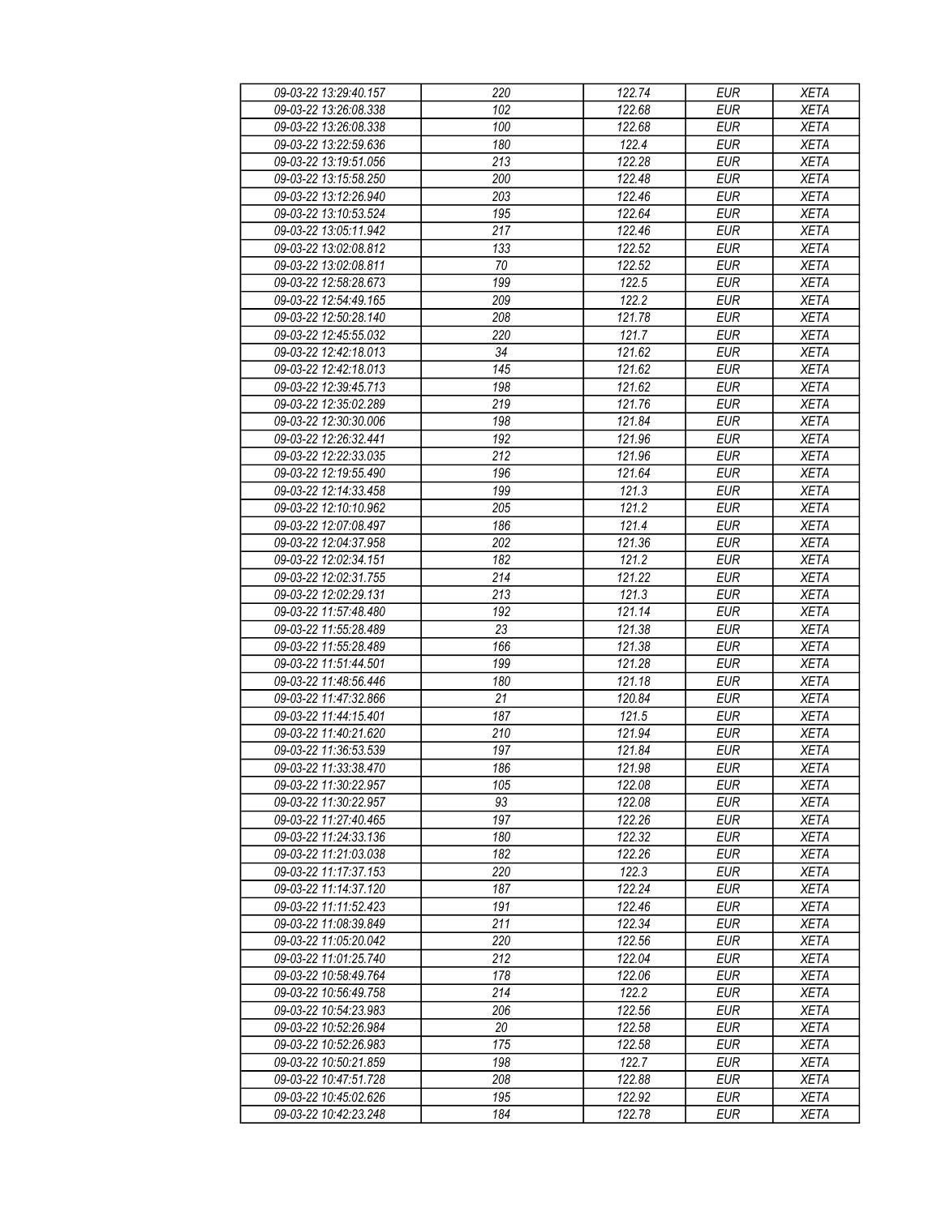| 09-03-22 13:29:40.157 | 220 | 122.74 | EUR        | <b>XETA</b> |
|-----------------------|-----|--------|------------|-------------|
| 09-03-22 13:26:08.338 | 102 | 122.68 | <b>EUR</b> | <b>XETA</b> |
| 09-03-22 13:26:08.338 | 100 | 122.68 | <b>EUR</b> | <b>XETA</b> |
| 09-03-22 13:22:59.636 | 180 | 122.4  | <b>EUR</b> | <b>XETA</b> |
| 09-03-22 13:19:51.056 | 213 | 122.28 | <b>EUR</b> | <b>XETA</b> |
| 09-03-22 13:15:58.250 | 200 | 122.48 | <b>EUR</b> | <b>XETA</b> |
|                       | 203 | 122.46 | <b>EUR</b> |             |
| 09-03-22 13:12:26.940 |     |        |            | <b>XETA</b> |
| 09-03-22 13:10:53.524 | 195 | 122.64 | <b>EUR</b> | <b>XETA</b> |
| 09-03-22 13:05:11.942 | 217 | 122.46 | <b>EUR</b> | <b>XETA</b> |
| 09-03-22 13:02:08.812 | 133 | 122.52 | <b>EUR</b> | <b>XETA</b> |
| 09-03-22 13:02:08.811 | 70  | 122.52 | <b>EUR</b> | <b>XETA</b> |
| 09-03-22 12:58:28.673 | 199 | 122.5  | <b>EUR</b> | <b>XETA</b> |
| 09-03-22 12:54:49.165 | 209 | 122.2  | <b>EUR</b> | <b>XETA</b> |
| 09-03-22 12:50:28.140 | 208 | 121.78 | <b>EUR</b> | <b>XETA</b> |
| 09-03-22 12:45:55.032 | 220 | 121.7  | <b>EUR</b> | <b>XETA</b> |
| 09-03-22 12:42:18.013 | 34  | 121.62 | <b>EUR</b> | <b>XETA</b> |
| 09-03-22 12:42:18.013 | 145 | 121.62 | <b>EUR</b> | <b>XETA</b> |
| 09-03-22 12:39:45.713 | 198 | 121.62 | <b>EUR</b> | <b>XETA</b> |
| 09-03-22 12:35:02.289 | 219 | 121.76 | <b>EUR</b> | <b>XETA</b> |
| 09-03-22 12:30:30.006 | 198 | 121.84 | <b>EUR</b> | <b>XETA</b> |
| 09-03-22 12:26:32.441 | 192 | 121.96 | <b>EUR</b> | <b>XETA</b> |
| 09-03-22 12:22:33.035 | 212 | 121.96 | <b>EUR</b> | <b>XETA</b> |
| 09-03-22 12:19:55.490 | 196 | 121.64 | <b>EUR</b> | <b>XETA</b> |
| 09-03-22 12:14:33.458 | 199 | 121.3  | <b>EUR</b> | <b>XETA</b> |
|                       |     |        |            |             |
| 09-03-22 12:10:10.962 | 205 | 121.2  | <b>EUR</b> | <b>XETA</b> |
| 09-03-22 12:07:08.497 | 186 | 121.4  | <b>EUR</b> | <b>XETA</b> |
| 09-03-22 12:04:37.958 | 202 | 121.36 | <b>EUR</b> | <b>XETA</b> |
| 09-03-22 12:02:34.151 | 182 | 121.2  | <b>EUR</b> | <b>XETA</b> |
| 09-03-22 12:02:31.755 | 214 | 121.22 | <b>EUR</b> | <b>XETA</b> |
| 09-03-22 12:02:29.131 | 213 | 121.3  | <b>EUR</b> | <b>XETA</b> |
| 09-03-22 11:57:48.480 | 192 | 121.14 | <b>EUR</b> | <b>XETA</b> |
| 09-03-22 11:55:28.489 | 23  | 121.38 | <b>EUR</b> | <b>XETA</b> |
| 09-03-22 11:55:28.489 | 166 | 121.38 | <b>EUR</b> | <b>XETA</b> |
| 09-03-22 11:51:44.501 | 199 | 121.28 | <b>EUR</b> | <b>XETA</b> |
| 09-03-22 11:48:56.446 | 180 | 121.18 | <b>EUR</b> | <b>XETA</b> |
| 09-03-22 11:47:32.866 | 21  | 120.84 | <b>EUR</b> | <b>XETA</b> |
| 09-03-22 11:44:15.401 | 187 | 121.5  | <b>EUR</b> | <b>XETA</b> |
| 09-03-22 11:40:21.620 | 210 | 121.94 | <b>EUR</b> | <b>XETA</b> |
| 09-03-22 11:36:53.539 | 197 | 121.84 | <b>EUR</b> | <b>XETA</b> |
| 09-03-22 11:33:38.470 | 186 | 121.98 | <b>EUR</b> | <b>XETA</b> |
| 09-03-22 11:30:22.957 | 105 | 122.08 | EUR        | XETA        |
| 09-03-22 11:30:22.957 | 93  | 122.08 | <b>EUR</b> | <b>XETA</b> |
| 09-03-22 11:27:40.465 | 197 | 122.26 | <b>EUR</b> | <b>XETA</b> |
| 09-03-22 11:24:33.136 | 180 | 122.32 | <b>EUR</b> | <b>XETA</b> |
|                       | 182 |        |            |             |
| 09-03-22 11:21:03.038 |     | 122.26 | <b>EUR</b> | <b>XETA</b> |
| 09-03-22 11:17:37.153 | 220 | 122.3  | <b>EUR</b> | <b>XETA</b> |
| 09-03-22 11:14:37.120 | 187 | 122.24 | <b>EUR</b> | <b>XETA</b> |
| 09-03-22 11:11:52.423 | 191 | 122.46 | <b>EUR</b> | <b>XETA</b> |
| 09-03-22 11:08:39.849 | 211 | 122.34 | <b>EUR</b> | <b>XETA</b> |
| 09-03-22 11:05:20.042 | 220 | 122.56 | EUR        | <b>XETA</b> |
| 09-03-22 11:01:25.740 | 212 | 122.04 | <b>EUR</b> | <b>XETA</b> |
| 09-03-22 10:58:49.764 | 178 | 122.06 | <b>EUR</b> | <b>XETA</b> |
| 09-03-22 10:56:49.758 | 214 | 122.2  | <b>EUR</b> | <b>XETA</b> |
| 09-03-22 10:54:23.983 | 206 | 122.56 | EUR        | <b>XETA</b> |
| 09-03-22 10:52:26.984 | 20  | 122.58 | EUR        | <b>XETA</b> |
| 09-03-22 10:52:26.983 | 175 | 122.58 | <b>EUR</b> | <b>XETA</b> |
| 09-03-22 10:50:21.859 | 198 | 122.7  | <b>EUR</b> | <b>XETA</b> |
| 09-03-22 10:47:51.728 | 208 | 122.88 | EUR        | XETA        |
| 09-03-22 10:45:02.626 | 195 | 122.92 | EUR        | <b>XETA</b> |
| 09-03-22 10:42:23.248 | 184 | 122.78 | EUR        | <b>XETA</b> |
|                       |     |        |            |             |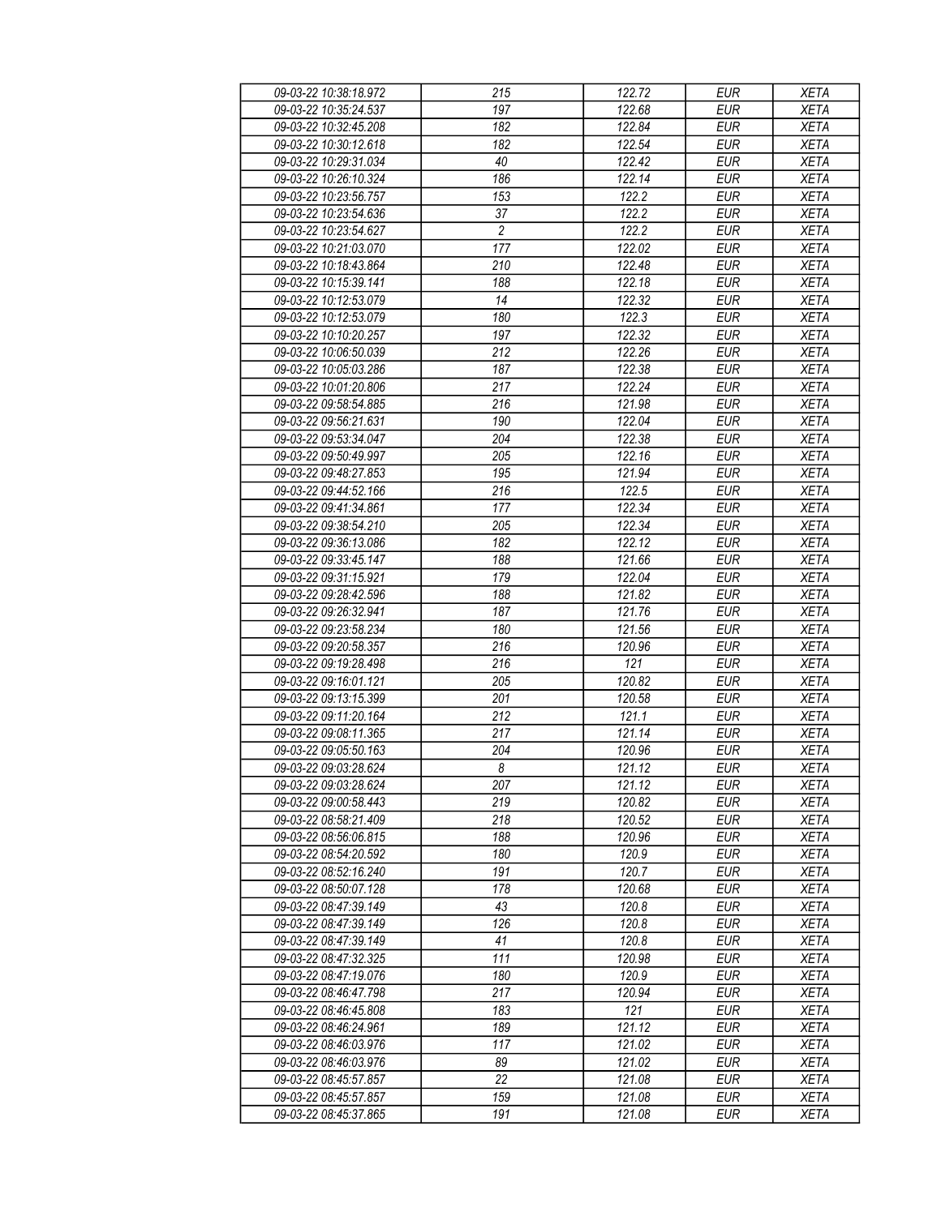| 09-03-22 10:38:18.972 | 215              | 122.72              | <b>EUR</b> | <b>XETA</b> |
|-----------------------|------------------|---------------------|------------|-------------|
| 09-03-22 10:35:24.537 | 197              | 122.68              | <b>EUR</b> | <b>XETA</b> |
| 09-03-22 10:32:45.208 | $\overline{182}$ | 122.84              | <b>EUR</b> | <b>XETA</b> |
| 09-03-22 10:30:12.618 | 182              | 122.54              | <b>EUR</b> | <b>XETA</b> |
| 09-03-22 10:29:31.034 | 40               | 122.42              | <b>EUR</b> | <b>XETA</b> |
| 09-03-22 10:26:10.324 | 186              | 122.14              | <b>EUR</b> | <b>XETA</b> |
| 09-03-22 10:23:56.757 |                  | 122.2               | <b>EUR</b> |             |
|                       | 153              |                     |            | <b>XETA</b> |
| 09-03-22 10:23:54.636 | 37               | 122.2               | <b>EUR</b> | <b>XETA</b> |
| 09-03-22 10:23:54.627 | $\overline{c}$   | 122.2               | <b>EUR</b> | <b>XETA</b> |
| 09-03-22 10:21:03.070 | 177              | 122.02              | <b>EUR</b> | <b>XETA</b> |
| 09-03-22 10:18:43.864 | 210              | 122.48              | <b>EUR</b> | <b>XETA</b> |
| 09-03-22 10:15:39.141 | 188              | 122.18              | <b>EUR</b> | <b>XETA</b> |
| 09-03-22 10:12:53.079 | 14               | $\overline{122.32}$ | <b>EUR</b> | <b>XETA</b> |
| 09-03-22 10:12:53.079 | 180              | 122.3               | <b>EUR</b> | <b>XETA</b> |
| 09-03-22 10:10:20.257 | 197              | $\overline{122.32}$ | <b>EUR</b> | <b>XETA</b> |
| 09-03-22 10:06:50.039 | 212              | 122.26              | <b>EUR</b> | <b>XETA</b> |
| 09-03-22 10:05:03.286 | 187              | 122.38              | <b>EUR</b> | <b>XETA</b> |
| 09-03-22 10:01:20.806 | 217              | 122.24              | <b>EUR</b> | <b>XETA</b> |
| 09-03-22 09:58:54.885 | 216              | 121.98              | <b>EUR</b> | <b>XETA</b> |
| 09-03-22 09:56:21.631 | 190              | 122.04              | <b>EUR</b> | <b>XETA</b> |
| 09-03-22 09:53:34.047 | 204              | 122.38              | <b>EUR</b> | <b>XETA</b> |
| 09-03-22 09:50:49.997 | 205              | 122.16              | <b>EUR</b> | <b>XETA</b> |
| 09-03-22 09:48:27.853 | 195              | 121.94              | <b>EUR</b> | <b>XETA</b> |
| 09-03-22 09:44:52.166 | 216              | 122.5               | <b>EUR</b> | <b>XETA</b> |
|                       |                  |                     |            |             |
| 09-03-22 09:41:34.861 | 177              | 122.34              | <b>EUR</b> | <b>XETA</b> |
| 09-03-22 09:38:54.210 | 205              | 122.34              | <b>EUR</b> | <b>XETA</b> |
| 09-03-22 09:36:13.086 | 182              | 122.12              | <b>EUR</b> | <b>XETA</b> |
| 09-03-22 09:33:45.147 | 188              | 121.66              | <b>EUR</b> | <b>XETA</b> |
| 09-03-22 09:31:15.921 | 179              | 122.04              | <b>EUR</b> | <b>XETA</b> |
| 09-03-22 09:28:42.596 | 188              | 121.82              | <b>EUR</b> | <b>XETA</b> |
| 09-03-22 09:26:32.941 | 187              | 121.76              | <b>EUR</b> | <b>XETA</b> |
| 09-03-22 09:23:58.234 | 180              | 121.56              | <b>EUR</b> | <b>XETA</b> |
| 09-03-22 09:20:58.357 | 216              | 120.96              | <b>EUR</b> | <b>XETA</b> |
| 09-03-22 09:19:28.498 | 216              | 121                 | <b>EUR</b> | <b>XETA</b> |
| 09-03-22 09:16:01.121 | 205              | 120.82              | <b>EUR</b> | <b>XETA</b> |
| 09-03-22 09:13:15.399 | 201              | 120.58              | <b>EUR</b> | <b>XETA</b> |
| 09-03-22 09:11:20.164 | 212              | 121.1               | <b>EUR</b> | <b>XETA</b> |
| 09-03-22 09:08:11.365 | 217              | 121.14              | <b>EUR</b> | <b>XETA</b> |
| 09-03-22 09:05:50.163 | 204              | 120.96              | <b>EUR</b> | <b>XETA</b> |
| 09-03-22 09:03:28.624 | 8                | 121.12              | <b>EUR</b> | <b>XETA</b> |
| 09-03-22 09:03:28.624 | 207              | 121.12              | EUR        | XETA        |
| 09-03-22 09:00:58.443 | 219              | 120.82              | <b>EUR</b> | <b>XETA</b> |
| 09-03-22 08:58:21.409 | 218              | 120.52              | <b>EUR</b> | <b>XETA</b> |
| 09-03-22 08:56:06.815 | 188              | 120.96              | <b>EUR</b> | <b>XETA</b> |
|                       |                  |                     |            |             |
| 09-03-22 08:54:20.592 | 180              | 120.9               | <b>EUR</b> | <b>XETA</b> |
| 09-03-22 08:52:16.240 | 191              | 120.7               | <b>EUR</b> | <b>XETA</b> |
| 09-03-22 08:50:07.128 | 178              | 120.68              | <b>EUR</b> | <b>XETA</b> |
| 09-03-22 08:47:39.149 | 43               | 120.8               | <b>EUR</b> | <b>XETA</b> |
| 09-03-22 08:47:39.149 | 126              | 120.8               | <b>EUR</b> | <b>XETA</b> |
| 09-03-22 08:47:39.149 | 41               | 120.8               | EUR        | <b>XETA</b> |
| 09-03-22 08:47:32.325 | 111              | 120.98              | <b>EUR</b> | <b>XETA</b> |
| 09-03-22 08:47:19.076 | 180              | 120.9               | <b>EUR</b> | <b>XETA</b> |
| 09-03-22 08:46:47.798 | 217              | 120.94              | <b>EUR</b> | <b>XETA</b> |
| 09-03-22 08:46:45.808 | 183              | 121                 | EUR        | <b>XETA</b> |
| 09-03-22 08:46:24.961 | 189              | 121.12              | EUR        | <b>XETA</b> |
| 09-03-22 08:46:03.976 | 117              | 121.02              | <b>EUR</b> | <b>XETA</b> |
| 09-03-22 08:46:03.976 | 89               | 121.02              | <b>EUR</b> | <b>XETA</b> |
| 09-03-22 08:45:57.857 | 22               | 121.08              | EUR        | XETA        |
| 09-03-22 08:45:57.857 | 159              | 121.08              | EUR        | <b>XETA</b> |
|                       | 191              |                     |            | <b>XETA</b> |
| 09-03-22 08:45:37.865 |                  | 121.08              | EUR        |             |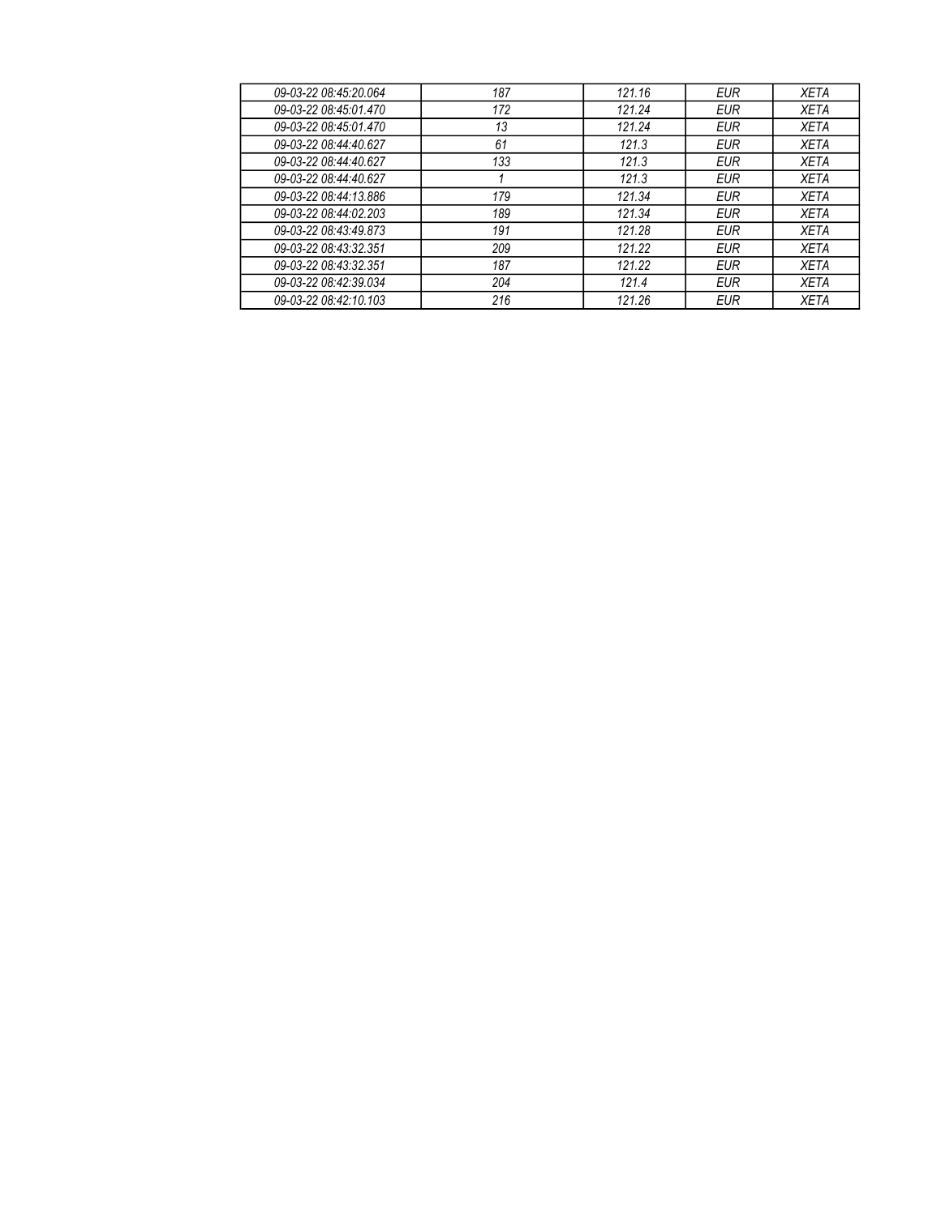| 09-03-22 08:45:20.064 | 187 | 121.16 | <b>EUR</b> | <b>XETA</b> |
|-----------------------|-----|--------|------------|-------------|
| 09-03-22 08:45:01.470 | 172 | 121.24 | EUR        | <b>XETA</b> |
| 09-03-22 08:45:01.470 | 13  | 121.24 | EUR        | <b>XETA</b> |
| 09-03-22 08:44:40.627 | 61  | 121.3  | EUR        | XETA        |
| 09-03-22 08:44:40.627 | 133 | 121.3  | EUR        | XETA        |
| 09-03-22 08:44:40.627 |     | 121.3  | EUR        | XETA        |
| 09-03-22 08:44:13.886 | 179 | 121.34 | EUR        | XETA        |
| 09-03-22 08:44:02.203 | 189 | 121.34 | EUR        | <b>XETA</b> |
| 09-03-22 08:43:49.873 | 191 | 121.28 | EUR        | <b>XETA</b> |
| 09-03-22 08:43:32.351 | 209 | 121.22 | <b>EUR</b> | <b>XETA</b> |
| 09-03-22 08:43:32.351 | 187 | 121.22 | EUR        | <b>XETA</b> |
| 09-03-22 08:42:39.034 | 204 | 121.4  | EUR        | <b>XETA</b> |
| 09-03-22 08:42:10.103 | 216 | 121.26 | EUR        | <b>XETA</b> |
|                       |     |        |            |             |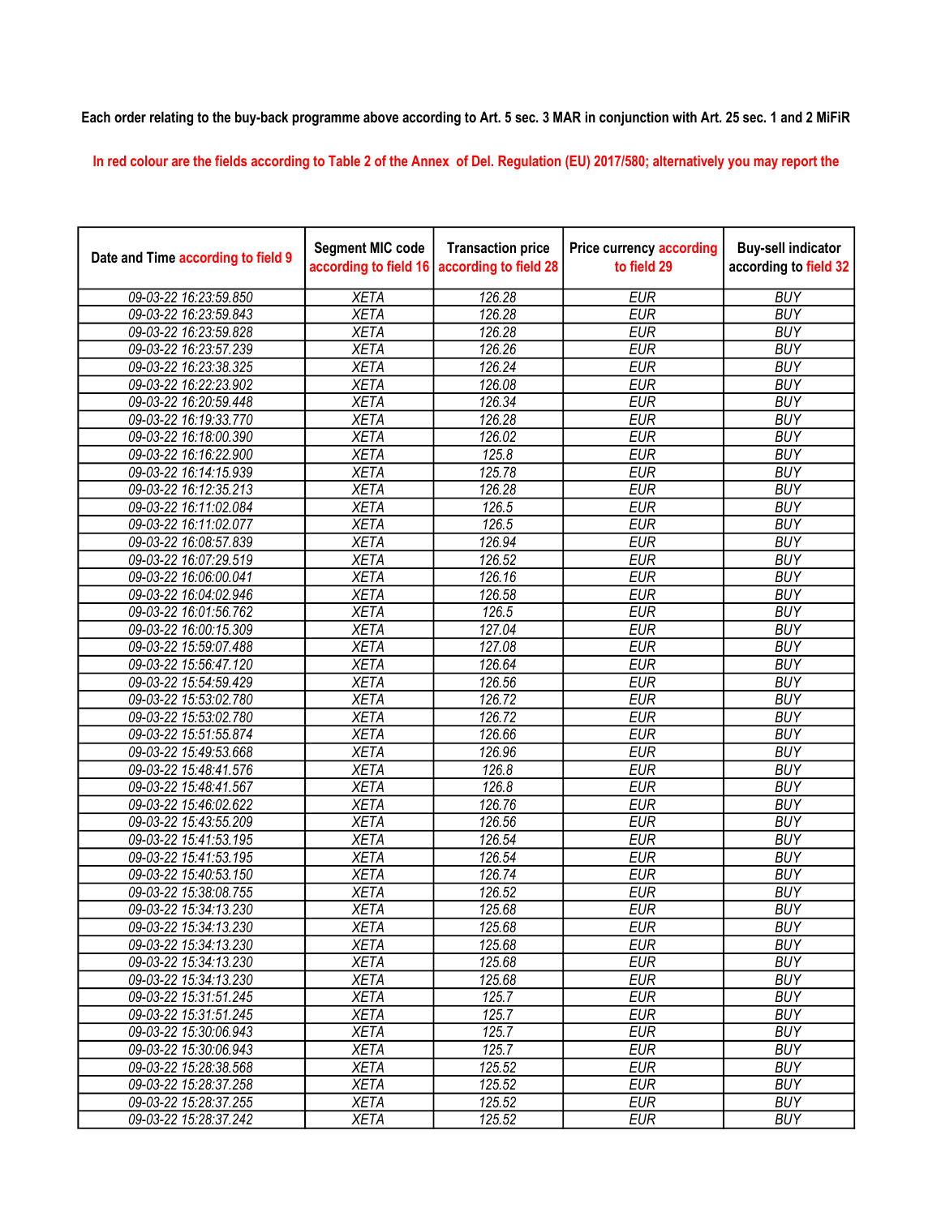## Each order relating to the buy-back programme above according to Art. 5 sec. 3 MAR in conjunction with Art. 25 sec. 1 and 2 MiFiR

In red colour are the fields according to Table 2 of the Annex of Del. Regulation (EU) 2017/580; alternatively you may report the

| Date and Time according to field 9 | <b>Segment MIC code</b><br>according to field 16 | <b>Transaction price</b><br>according to field 28 | <b>Price currency according</b><br>to field 29 | <b>Buy-sell indicator</b><br>according to field 32 |
|------------------------------------|--------------------------------------------------|---------------------------------------------------|------------------------------------------------|----------------------------------------------------|
| 09-03-22 16:23:59.850              | <b>XETA</b>                                      | 126.28                                            | <b>EUR</b>                                     | <b>BUY</b>                                         |
| 09-03-22 16:23:59.843              | <b>XETA</b>                                      | 126.28                                            | <b>EUR</b>                                     | <b>BUY</b>                                         |
| 09-03-22 16:23:59.828              | <b>XETA</b>                                      | 126.28                                            | <b>EUR</b>                                     | <b>BUY</b>                                         |
| 09-03-22 16:23:57.239              | <b>XETA</b>                                      | 126.26                                            | <b>EUR</b>                                     | <b>BUY</b>                                         |
| 09-03-22 16:23:38.325              | <b>XETA</b>                                      | 126.24                                            | <b>EUR</b>                                     | <b>BUY</b>                                         |
| 09-03-22 16:22:23.902              | <b>XETA</b>                                      | 126.08                                            | <b>EUR</b>                                     | <b>BUY</b>                                         |
| 09-03-22 16:20:59.448              | <b>XETA</b>                                      | 126.34                                            | <b>EUR</b>                                     | <b>BUY</b>                                         |
| 09-03-22 16:19:33.770              | <b>XETA</b>                                      | 126.28                                            | <b>EUR</b>                                     | <b>BUY</b>                                         |
| 09-03-22 16:18:00.390              | <b>XETA</b>                                      | 126.02                                            | <b>EUR</b>                                     | <b>BUY</b>                                         |
| 09-03-22 16:16:22.900              | <b>XETA</b>                                      | 125.8                                             | <b>EUR</b>                                     | <b>BUY</b>                                         |
| 09-03-22 16:14:15.939              | <b>XETA</b>                                      | 125.78                                            | <b>EUR</b>                                     | <b>BUY</b>                                         |
| 09-03-22 16:12:35.213              | <b>XETA</b>                                      | 126.28                                            | <b>EUR</b>                                     | <b>BUY</b>                                         |
| 09-03-22 16:11:02.084              | <b>XETA</b>                                      | 126.5                                             | <b>EUR</b>                                     | <b>BUY</b>                                         |
| 09-03-22 16:11:02.077              | <b>XETA</b>                                      | 126.5                                             | <b>EUR</b>                                     | <b>BUY</b>                                         |
| 09-03-22 16:08:57.839              | <b>XETA</b>                                      | 126.94                                            | <b>EUR</b>                                     | <b>BUY</b>                                         |
| 09-03-22 16:07:29.519              | <b>XETA</b>                                      | 126.52                                            | <b>EUR</b>                                     | <b>BUY</b>                                         |
| 09-03-22 16:06:00.041              | <b>XETA</b>                                      | 126.16                                            | <b>EUR</b>                                     | <b>BUY</b>                                         |
| 09-03-22 16:04:02.946              | <b>XETA</b>                                      | 126.58                                            | <b>EUR</b>                                     | <b>BUY</b>                                         |
| 09-03-22 16:01:56.762              | <b>XETA</b>                                      | 126.5                                             | <b>EUR</b>                                     | <b>BUY</b>                                         |
| 09-03-22 16:00:15.309              | <b>XETA</b>                                      | 127.04                                            | <b>EUR</b>                                     | <b>BUY</b>                                         |
| 09-03-22 15:59:07.488              | <b>XETA</b>                                      | 127.08                                            | <b>EUR</b>                                     | <b>BUY</b>                                         |
| 09-03-22 15:56:47.120              | <b>XETA</b>                                      | 126.64                                            | <b>EUR</b>                                     | <b>BUY</b>                                         |
| 09-03-22 15:54:59.429              | <b>XETA</b>                                      | 126.56                                            | <b>EUR</b>                                     | <b>BUY</b>                                         |
| 09-03-22 15:53:02.780              | <b>XETA</b>                                      | 126.72                                            | <b>EUR</b>                                     | <b>BUY</b>                                         |
| 09-03-22 15:53:02.780              | <b>XETA</b>                                      | 126.72                                            | <b>EUR</b>                                     | <b>BUY</b>                                         |
| 09-03-22 15:51:55.874              | <b>XETA</b>                                      | 126.66                                            | <b>EUR</b>                                     | <b>BUY</b>                                         |
| 09-03-22 15:49:53.668              | <b>XETA</b>                                      | 126.96                                            | <b>EUR</b>                                     | <b>BUY</b>                                         |
| 09-03-22 15:48:41.576              | <b>XETA</b>                                      | 126.8                                             | <b>EUR</b>                                     | <b>BUY</b>                                         |
| 09-03-22 15:48:41.567              | <b>XETA</b>                                      | 126.8                                             | <b>EUR</b>                                     | <b>BUY</b>                                         |
| 09-03-22 15:46:02.622              | <b>XETA</b>                                      | 126.76                                            | <b>EUR</b>                                     | <b>BUY</b>                                         |
| 09-03-22 15:43:55.209              | <b>XETA</b>                                      | 126.56                                            | <b>EUR</b>                                     | <b>BUY</b>                                         |
| 09-03-22 15:41:53.195              | <b>XETA</b>                                      | 126.54                                            | <b>EUR</b>                                     | <b>BUY</b>                                         |
| 09-03-22 15:41:53.195              | <b>XETA</b>                                      | 126.54                                            | <b>EUR</b>                                     | <b>BUY</b>                                         |
| 09-03-22 15:40:53.150              | <b>XETA</b>                                      | 126.74                                            | <b>EUR</b>                                     | <b>BUY</b>                                         |
| 09-03-22 15:38:08.755              | <b>XETA</b>                                      | 126.52                                            | <b>EUR</b>                                     | <b>BUY</b>                                         |
| 09-03-22 15:34:13.230              | <b>XETA</b>                                      | 125.68                                            | <b>EUR</b>                                     | <b>BUY</b>                                         |
| 09-03-22 15:34:13.230              | <b>XETA</b>                                      | 125.68                                            | <b>EUR</b>                                     | <b>BUY</b>                                         |
| 09-03-22 15:34:13.230              | <b>XETA</b>                                      | 125.68                                            | <b>EUR</b>                                     | <b>BUY</b>                                         |
| 09-03-22 15:34:13.230              | <b>XETA</b>                                      | 125.68                                            | <b>EUR</b>                                     | <b>BUY</b>                                         |
| 09-03-22 15:34:13.230              | <b>XETA</b>                                      | 125.68                                            | <b>EUR</b>                                     | <b>BUY</b>                                         |
| 09-03-22 15:31:51.245              | <b>XETA</b>                                      | 125.7                                             | <b>EUR</b>                                     | <b>BUY</b>                                         |
| 09-03-22 15:31:51.245              | <b>XETA</b>                                      | 125.7                                             | <b>EUR</b>                                     | <b>BUY</b>                                         |
| 09-03-22 15:30:06.943              | <b>XETA</b>                                      | 125.7                                             | <b>EUR</b>                                     | <b>BUY</b>                                         |
| 09-03-22 15:30:06.943              | <b>XETA</b>                                      | 125.7                                             | <b>EUR</b>                                     | <b>BUY</b>                                         |
| 09-03-22 15:28:38.568              | <b>XETA</b>                                      | 125.52                                            | <b>EUR</b>                                     | <b>BUY</b>                                         |
| 09-03-22 15:28:37.258              | <b>XETA</b>                                      | 125.52                                            | <b>EUR</b>                                     | <b>BUY</b>                                         |
| 09-03-22 15:28:37.255              | <b>XETA</b>                                      | 125.52                                            | <b>EUR</b>                                     | <b>BUY</b>                                         |
| 09-03-22 15:28:37.242              | <b>XETA</b>                                      | 125.52                                            | <b>EUR</b>                                     | <b>BUY</b>                                         |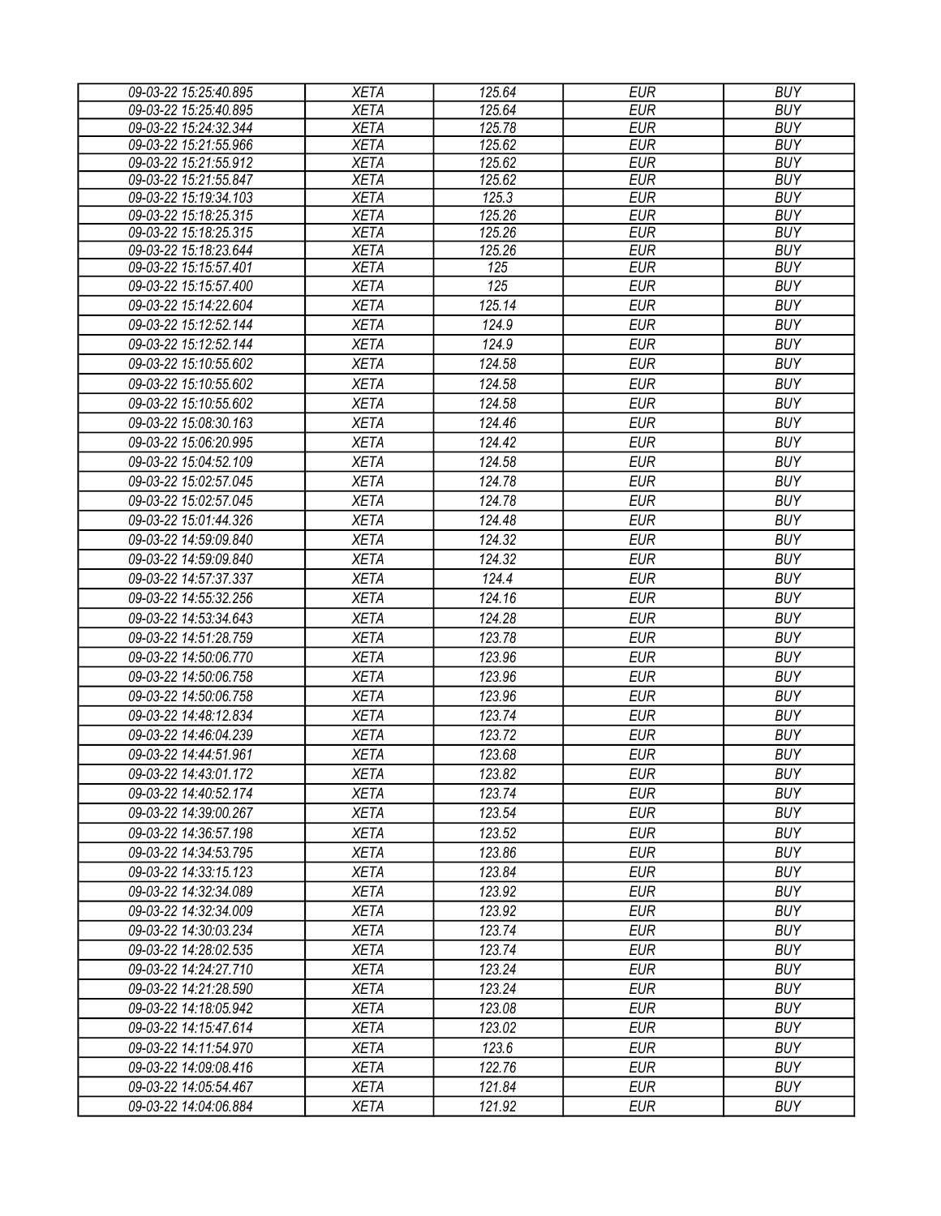| 09-03-22 15:25:40.895 | <b>XETA</b> | 125.64           | <b>EUR</b> | <b>BUY</b> |
|-----------------------|-------------|------------------|------------|------------|
| 09-03-22 15:25:40.895 | <b>XETA</b> | 125.64           | <b>EUR</b> | <b>BUY</b> |
| 09-03-22 15:24:32.344 | <b>XETA</b> | 125.78           | <b>EUR</b> | <b>BUY</b> |
| 09-03-22 15:21:55.966 | <b>XETA</b> | 125.62           | <b>EUR</b> | <b>BUY</b> |
| 09-03-22 15:21:55.912 | <b>XETA</b> | 125.62           | <b>EUR</b> | <b>BUY</b> |
| 09-03-22 15:21:55.847 | <b>XETA</b> | 125.62           | <b>EUR</b> | <b>BUY</b> |
| 09-03-22 15:19:34.103 | <b>XETA</b> | 125.3            | <b>EUR</b> | <b>BUY</b> |
| 09-03-22 15:18:25.315 | <b>XETA</b> | 125.26           | <b>EUR</b> | <b>BUY</b> |
| 09-03-22 15:18:25.315 | <b>XETA</b> | 125.26           | <b>EUR</b> | <b>BUY</b> |
| 09-03-22 15:18:23.644 | <b>XETA</b> | 125.26           | <b>EUR</b> | <b>BUY</b> |
| 09-03-22 15:15:57.401 | <b>XETA</b> | $\overline{125}$ | <b>EUR</b> | <b>BUY</b> |
| 09-03-22 15:15:57.400 | <b>XETA</b> | 125              | <b>EUR</b> | <b>BUY</b> |
| 09-03-22 15:14:22.604 | <b>XETA</b> | 125.14           | <b>EUR</b> | <b>BUY</b> |
| 09-03-22 15:12:52.144 | <b>XETA</b> | 124.9            | <b>EUR</b> | <b>BUY</b> |
| 09-03-22 15:12:52.144 | <b>XETA</b> | 124.9            | <b>EUR</b> | <b>BUY</b> |
| 09-03-22 15:10:55.602 | <b>XETA</b> | 124.58           | <b>EUR</b> | <b>BUY</b> |
| 09-03-22 15:10:55.602 | <b>XETA</b> | 124.58           | <b>EUR</b> | <b>BUY</b> |
| 09-03-22 15:10:55.602 | <b>XETA</b> | 124.58           | <b>EUR</b> | <b>BUY</b> |
| 09-03-22 15:08:30.163 | <b>XETA</b> | 124.46           | <b>EUR</b> | <b>BUY</b> |
| 09-03-22 15:06:20.995 | <b>XETA</b> | 124.42           | <b>EUR</b> | <b>BUY</b> |
| 09-03-22 15:04:52.109 | <b>XETA</b> | 124.58           | <b>EUR</b> | <b>BUY</b> |
| 09-03-22 15:02:57.045 | <b>XETA</b> | 124.78           | <b>EUR</b> | <b>BUY</b> |
| 09-03-22 15:02:57.045 | <b>XETA</b> | 124.78           | <b>EUR</b> | <b>BUY</b> |
| 09-03-22 15:01:44.326 | <b>XETA</b> | 124.48           | <b>EUR</b> | <b>BUY</b> |
| 09-03-22 14:59:09.840 | <b>XETA</b> | 124.32           | <b>EUR</b> | <b>BUY</b> |
| 09-03-22 14:59:09.840 | <b>XETA</b> | 124.32           | <b>EUR</b> | <b>BUY</b> |
| 09-03-22 14:57:37.337 | <b>XETA</b> | 124.4            | <b>EUR</b> | <b>BUY</b> |
| 09-03-22 14:55:32.256 | <b>XETA</b> | 124.16           | <b>EUR</b> | <b>BUY</b> |
| 09-03-22 14:53:34.643 | <b>XETA</b> | 124.28           | <b>EUR</b> | <b>BUY</b> |
|                       |             | 123.78           | <b>EUR</b> | <b>BUY</b> |
| 09-03-22 14:51:28.759 | <b>XETA</b> |                  |            |            |
| 09-03-22 14:50:06.770 | <b>XETA</b> | 123.96           | <b>EUR</b> | <b>BUY</b> |
| 09-03-22 14:50:06.758 | <b>XETA</b> | 123.96           | <b>EUR</b> | <b>BUY</b> |
| 09-03-22 14:50:06.758 | <b>XETA</b> | 123.96           | <b>EUR</b> | <b>BUY</b> |
| 09-03-22 14:48:12.834 | <b>XETA</b> | 123.74           | <b>EUR</b> | <b>BUY</b> |
| 09-03-22 14:46:04.239 | <b>XETA</b> | 123.72           | <b>EUR</b> | <b>BUY</b> |
| 09-03-22 14:44:51.961 | <b>XETA</b> | 123.68           | <b>EUR</b> | <b>BUY</b> |
| 09-03-22 14:43:01.172 | <b>XETA</b> | 123.82           | <b>EUR</b> | <b>BUY</b> |
| 09-03-22 14:40:52.174 | <b>XETA</b> | 123.74           | EUR        | <b>BUY</b> |
| 09-03-22 14:39:00.267 | <b>XETA</b> | 123.54           | EUR        | <b>BUY</b> |
| 09-03-22 14:36:57.198 | <b>XETA</b> | 123.52           | <b>EUR</b> | <b>BUY</b> |
| 09-03-22 14:34:53.795 | <b>XETA</b> | 123.86           | <b>EUR</b> | <b>BUY</b> |
| 09-03-22 14:33:15.123 | <b>XETA</b> | 123.84           | <b>EUR</b> | <b>BUY</b> |
| 09-03-22 14:32:34.089 | <b>XETA</b> | 123.92           | <b>EUR</b> | <b>BUY</b> |
| 09-03-22 14:32:34.009 | <b>XETA</b> | 123.92           | <b>EUR</b> | <b>BUY</b> |
| 09-03-22 14:30:03.234 | <b>XETA</b> | 123.74           | <b>EUR</b> | <b>BUY</b> |
| 09-03-22 14:28:02.535 | <b>XETA</b> | 123.74           | <b>EUR</b> | <b>BUY</b> |
| 09-03-22 14:24:27.710 | <b>XETA</b> | 123.24           | <b>EUR</b> | <b>BUY</b> |
| 09-03-22 14:21:28.590 | <b>XETA</b> | 123.24           | <b>EUR</b> | <b>BUY</b> |
| 09-03-22 14:18:05.942 | <b>XETA</b> | 123.08           | <b>EUR</b> | <b>BUY</b> |
| 09-03-22 14:15:47.614 | <b>XETA</b> | 123.02           | <b>EUR</b> | <b>BUY</b> |
| 09-03-22 14:11:54.970 | <b>XETA</b> | 123.6            | <b>EUR</b> | <b>BUY</b> |
| 09-03-22 14:09:08.416 | <b>XETA</b> | 122.76           | <b>EUR</b> | <b>BUY</b> |
| 09-03-22 14:05:54.467 | <b>XETA</b> | 121.84           | <b>EUR</b> | <b>BUY</b> |
|                       |             |                  |            |            |
| 09-03-22 14:04:06.884 | XETA        | 121.92           | <b>EUR</b> | <b>BUY</b> |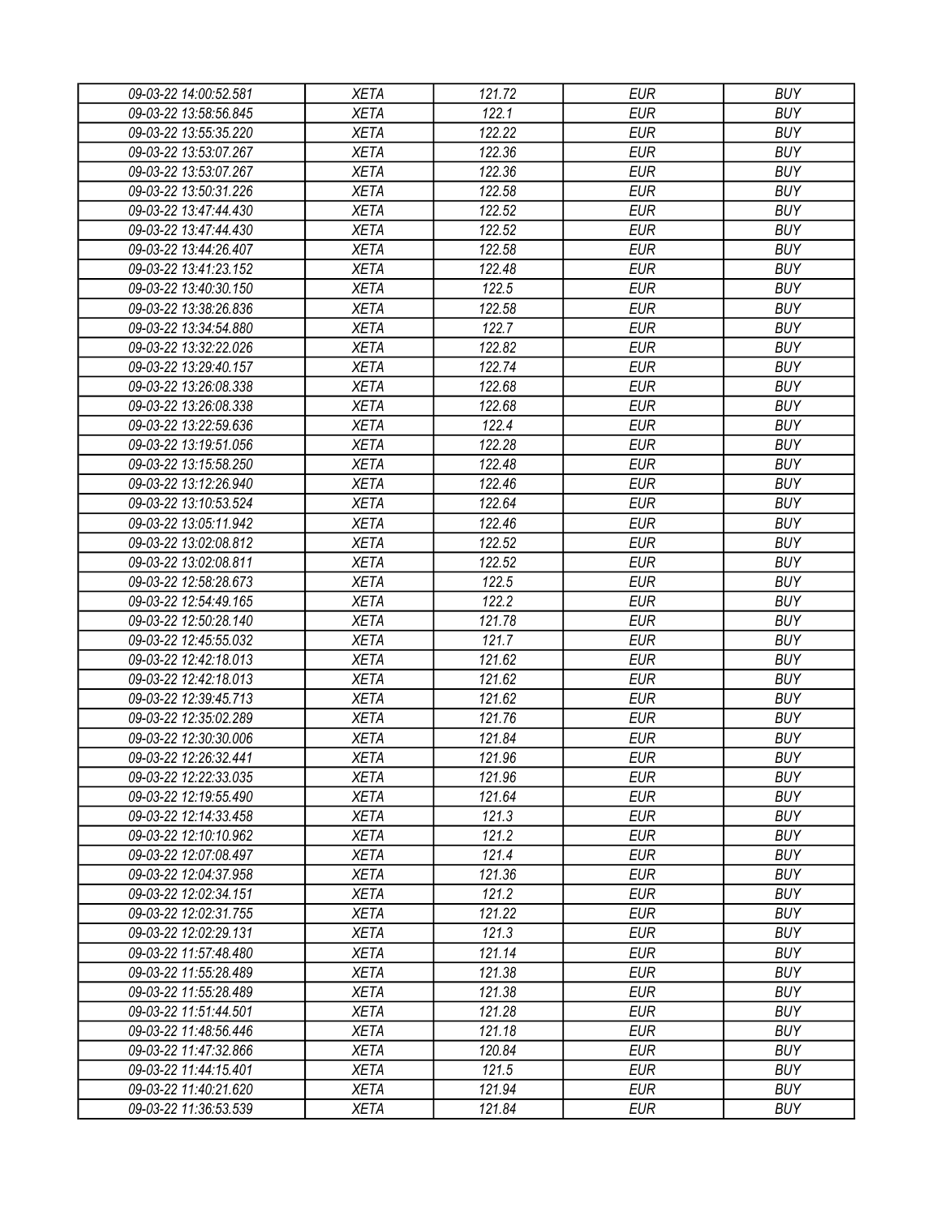| 09-03-22 14:00:52.581                          | XETA        | 121.72 | <b>EUR</b> | <b>BUY</b>               |
|------------------------------------------------|-------------|--------|------------|--------------------------|
| 09-03-22 13:58:56.845                          | <b>XETA</b> | 122.1  | <b>EUR</b> | <b>BUY</b>               |
| 09-03-22 13:55:35.220                          | <b>XETA</b> | 122.22 | <b>EUR</b> | <b>BUY</b>               |
| 09-03-22 13:53:07.267                          | <b>XETA</b> | 122.36 | <b>EUR</b> | <b>BUY</b>               |
| 09-03-22 13:53:07.267                          | <b>XETA</b> | 122.36 | <b>EUR</b> | <b>BUY</b>               |
| 09-03-22 13:50:31.226                          | <b>XETA</b> | 122.58 | <b>EUR</b> | <b>BUY</b>               |
| 09-03-22 13:47:44.430                          | <b>XETA</b> | 122.52 | <b>EUR</b> | <b>BUY</b>               |
| 09-03-22 13:47:44.430                          | <b>XETA</b> | 122.52 | <b>EUR</b> | <b>BUY</b>               |
| 09-03-22 13:44:26.407                          | <b>XETA</b> | 122.58 | <b>EUR</b> | <b>BUY</b>               |
| 09-03-22 13:41:23.152                          | <b>XETA</b> | 122.48 | <b>EUR</b> | <b>BUY</b>               |
| 09-03-22 13:40:30.150                          | <b>XETA</b> | 122.5  | <b>EUR</b> | <b>BUY</b>               |
| 09-03-22 13:38:26.836                          | <b>XETA</b> | 122.58 | <b>EUR</b> | <b>BUY</b>               |
| 09-03-22 13:34:54.880                          | <b>XETA</b> | 122.7  | <b>EUR</b> | <b>BUY</b>               |
| 09-03-22 13:32:22.026                          | <b>XETA</b> | 122.82 | <b>EUR</b> | <b>BUY</b>               |
| 09-03-22 13:29:40.157                          | <b>XETA</b> | 122.74 | <b>EUR</b> | <b>BUY</b>               |
| 09-03-22 13:26:08.338                          | <b>XETA</b> | 122.68 | <b>EUR</b> | <b>BUY</b>               |
| 09-03-22 13:26:08.338                          | <b>XETA</b> | 122.68 | <b>EUR</b> | <b>BUY</b>               |
| 09-03-22 13:22:59.636                          | <b>XETA</b> | 122.4  | <b>EUR</b> | <b>BUY</b>               |
| 09-03-22 13:19:51.056                          | <b>XETA</b> | 122.28 | <b>EUR</b> | <b>BUY</b>               |
| 09-03-22 13:15:58.250                          | <b>XETA</b> | 122.48 | <b>EUR</b> | <b>BUY</b>               |
| 09-03-22 13:12:26.940                          | <b>XETA</b> | 122.46 | <b>EUR</b> | <b>BUY</b>               |
| 09-03-22 13:10:53.524                          | <b>XETA</b> | 122.64 | <b>EUR</b> | <b>BUY</b>               |
| 09-03-22 13:05:11.942                          | <b>XETA</b> | 122.46 | <b>EUR</b> | <b>BUY</b>               |
| 09-03-22 13:02:08.812                          | <b>XETA</b> | 122.52 | <b>EUR</b> | <b>BUY</b>               |
| 09-03-22 13:02:08.811                          | <b>XETA</b> | 122.52 | <b>EUR</b> | <b>BUY</b>               |
| 09-03-22 12:58:28.673                          | <b>XETA</b> | 122.5  | EUR        | <b>BUY</b>               |
| 09-03-22 12:54:49.165                          | <b>XETA</b> | 122.2  | <b>EUR</b> | <b>BUY</b>               |
| 09-03-22 12:50:28.140                          | <b>XETA</b> | 121.78 | <b>EUR</b> | <b>BUY</b>               |
| 09-03-22 12:45:55.032                          | <b>XETA</b> | 121.7  | <b>EUR</b> | <b>BUY</b>               |
| 09-03-22 12:42:18.013                          | <b>XETA</b> | 121.62 | <b>EUR</b> | <b>BUY</b>               |
| 09-03-22 12:42:18.013                          | <b>XETA</b> | 121.62 | <b>EUR</b> | <b>BUY</b>               |
| 09-03-22 12:39:45.713                          | <b>XETA</b> | 121.62 | <b>EUR</b> | <b>BUY</b>               |
| 09-03-22 12:35:02.289                          | <b>XETA</b> | 121.76 | <b>EUR</b> | <b>BUY</b>               |
|                                                |             |        | <b>EUR</b> | <b>BUY</b>               |
| 09-03-22 12:30:30.006<br>09-03-22 12:26:32.441 | <b>XETA</b> | 121.84 | <b>EUR</b> |                          |
|                                                | <b>XETA</b> | 121.96 |            | <b>BUY</b>               |
| 09-03-22 12:22:33.035                          | <b>XETA</b> | 121.96 | <b>EUR</b> | <b>BUY</b>               |
| 09-03-22 12:19:55.490                          | <b>XETA</b> | 121.64 | <b>EUR</b> | <b>BUY</b>               |
| 09-03-22 12:14:33.458                          | <b>XETA</b> | 121.3  | <b>EUR</b> | <b>BUY</b>               |
| 09-03-22 12:10:10.962                          | <b>XETA</b> | 121.2  | <b>EUR</b> | <b>BUY</b><br><b>BUY</b> |
| 09-03-22 12:07:08.497                          | <b>XETA</b> | 121.4  | <b>EUR</b> |                          |
| 09-03-22 12:04:37.958                          | <b>XETA</b> | 121.36 | <b>EUR</b> | <b>BUY</b>               |
| 09-03-22 12:02:34.151                          | <b>XETA</b> | 121.2  | <b>EUR</b> | <b>BUY</b>               |
| 09-03-22 12:02:31.755                          | <b>XETA</b> | 121.22 | <b>EUR</b> | <b>BUY</b>               |
| 09-03-22 12:02:29.131                          | <b>XETA</b> | 121.3  | <b>EUR</b> | <b>BUY</b>               |
| 09-03-22 11:57:48.480                          | <b>XETA</b> | 121.14 | <b>EUR</b> | <b>BUY</b>               |
| 09-03-22 11:55:28.489                          | <b>XETA</b> | 121.38 | <b>EUR</b> | <b>BUY</b>               |
| 09-03-22 11:55:28.489                          | <b>XETA</b> | 121.38 | <b>EUR</b> | <b>BUY</b>               |
| 09-03-22 11:51:44.501                          | <b>XETA</b> | 121.28 | <b>EUR</b> | <b>BUY</b>               |
| 09-03-22 11:48:56.446                          | <b>XETA</b> | 121.18 | <b>EUR</b> | <b>BUY</b>               |
| 09-03-22 11:47:32.866                          | <b>XETA</b> | 120.84 | <b>EUR</b> | <b>BUY</b>               |
| 09-03-22 11:44:15.401                          | <b>XETA</b> | 121.5  | EUR        | <b>BUY</b>               |
| 09-03-22 11:40:21.620                          | <b>XETA</b> | 121.94 | <b>EUR</b> | <b>BUY</b>               |
| 09-03-22 11:36:53.539                          | <b>XETA</b> | 121.84 | <b>EUR</b> | <b>BUY</b>               |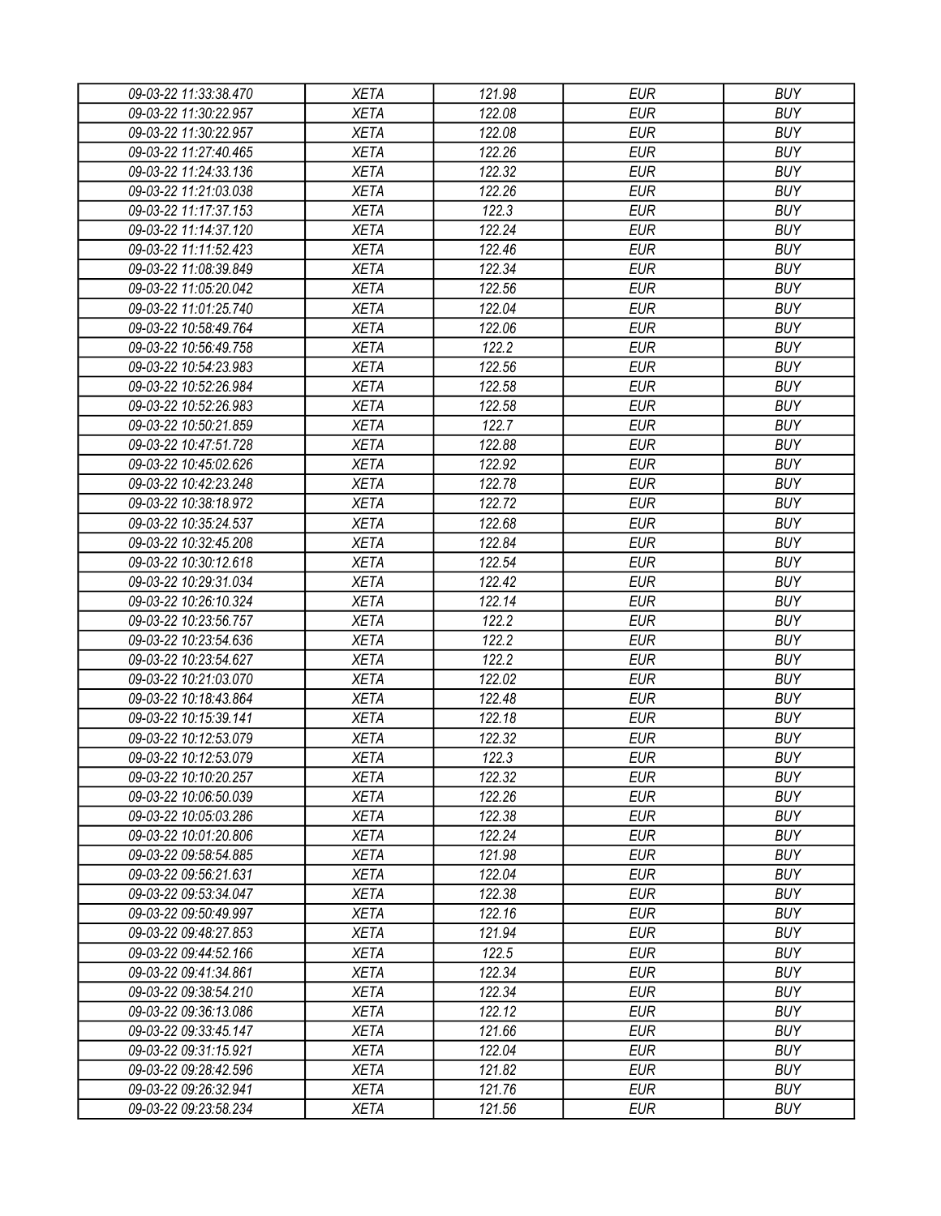| 09-03-22 11:33:38.470 | XETA        | 121.98 | <b>EUR</b> | <b>BUY</b> |
|-----------------------|-------------|--------|------------|------------|
| 09-03-22 11:30:22.957 | <b>XETA</b> | 122.08 | <b>EUR</b> | <b>BUY</b> |
| 09-03-22 11:30:22.957 | <b>XETA</b> | 122.08 | <b>EUR</b> | <b>BUY</b> |
| 09-03-22 11:27:40.465 | <b>XETA</b> | 122.26 | <b>EUR</b> | <b>BUY</b> |
| 09-03-22 11:24:33.136 | <b>XETA</b> | 122.32 | <b>EUR</b> | <b>BUY</b> |
| 09-03-22 11:21:03.038 | <b>XETA</b> | 122.26 | <b>EUR</b> | <b>BUY</b> |
| 09-03-22 11:17:37.153 | <b>XETA</b> | 122.3  | <b>EUR</b> | <b>BUY</b> |
| 09-03-22 11:14:37.120 | <b>XETA</b> | 122.24 | <b>EUR</b> | <b>BUY</b> |
| 09-03-22 11:11:52.423 | <b>XETA</b> | 122.46 | <b>EUR</b> | <b>BUY</b> |
| 09-03-22 11:08:39.849 | <b>XETA</b> | 122.34 | <b>EUR</b> | <b>BUY</b> |
| 09-03-22 11:05:20.042 | <b>XETA</b> | 122.56 | <b>EUR</b> | <b>BUY</b> |
| 09-03-22 11:01:25.740 | <b>XETA</b> | 122.04 | <b>EUR</b> | <b>BUY</b> |
| 09-03-22 10:58:49.764 | <b>XETA</b> | 122.06 | <b>EUR</b> | <b>BUY</b> |
| 09-03-22 10:56:49.758 | <b>XETA</b> | 122.2  | <b>EUR</b> | <b>BUY</b> |
| 09-03-22 10:54:23.983 | <b>XETA</b> | 122.56 | <b>EUR</b> | <b>BUY</b> |
| 09-03-22 10:52:26.984 | <b>XETA</b> | 122.58 | <b>EUR</b> | <b>BUY</b> |
| 09-03-22 10:52:26.983 | <b>XETA</b> | 122.58 | <b>EUR</b> | <b>BUY</b> |
| 09-03-22 10:50:21.859 | <b>XETA</b> | 122.7  | <b>EUR</b> | <b>BUY</b> |
| 09-03-22 10:47:51.728 | <b>XETA</b> | 122.88 | <b>EUR</b> | <b>BUY</b> |
| 09-03-22 10:45:02.626 | <b>XETA</b> | 122.92 | <b>EUR</b> | <b>BUY</b> |
| 09-03-22 10:42:23.248 | <b>XETA</b> | 122.78 | <b>EUR</b> | <b>BUY</b> |
| 09-03-22 10:38:18.972 | <b>XETA</b> | 122.72 | <b>EUR</b> | <b>BUY</b> |
|                       |             | 122.68 | <b>EUR</b> | <b>BUY</b> |
| 09-03-22 10:35:24.537 | <b>XETA</b> |        |            |            |
| 09-03-22 10:32:45.208 | <b>XETA</b> | 122.84 | <b>EUR</b> | <b>BUY</b> |
| 09-03-22 10:30:12.618 | <b>XETA</b> | 122.54 | <b>EUR</b> | <b>BUY</b> |
| 09-03-22 10:29:31.034 | <b>XETA</b> | 122.42 | <b>EUR</b> | <b>BUY</b> |
| 09-03-22 10:26:10.324 | <b>XETA</b> | 122.14 | <b>EUR</b> | <b>BUY</b> |
| 09-03-22 10:23:56.757 | <b>XETA</b> | 122.2  | <b>EUR</b> | <b>BUY</b> |
| 09-03-22 10:23:54.636 | <b>XETA</b> | 122.2  | <b>EUR</b> | <b>BUY</b> |
| 09-03-22 10:23:54.627 | <b>XETA</b> | 122.2  | <b>EUR</b> | <b>BUY</b> |
| 09-03-22 10:21:03.070 | <b>XETA</b> | 122.02 | <b>EUR</b> | <b>BUY</b> |
| 09-03-22 10:18:43.864 | <b>XETA</b> | 122.48 | <b>EUR</b> | <b>BUY</b> |
| 09-03-22 10:15:39.141 | <b>XETA</b> | 122.18 | <b>EUR</b> | <b>BUY</b> |
| 09-03-22 10:12:53.079 | <b>XETA</b> | 122.32 | <b>EUR</b> | <b>BUY</b> |
| 09-03-22 10:12:53.079 | <b>XETA</b> | 122.3  | <b>EUR</b> | <b>BUY</b> |
| 09-03-22 10:10:20.257 | <b>XETA</b> | 122.32 | <b>EUR</b> | <b>BUY</b> |
| 09-03-22 10:06:50.039 | <b>XETA</b> | 122.26 | <b>EUR</b> | <b>BUY</b> |
| 09-03-22 10:05:03.286 | <b>XETA</b> | 122.38 | <b>EUR</b> | <b>BUY</b> |
| 09-03-22 10:01:20.806 | <b>XETA</b> | 122.24 | <b>EUR</b> | <b>BUY</b> |
| 09-03-22 09:58:54.885 | <b>XETA</b> | 121.98 | <b>EUR</b> | <b>BUY</b> |
| 09-03-22 09:56:21.631 | <b>XETA</b> | 122.04 | <b>EUR</b> | <b>BUY</b> |
| 09-03-22 09:53:34.047 | <b>XETA</b> | 122.38 | <b>EUR</b> | <b>BUY</b> |
| 09-03-22 09:50:49.997 | <b>XETA</b> | 122.16 | <b>EUR</b> | <b>BUY</b> |
| 09-03-22 09:48:27.853 | <b>XETA</b> | 121.94 | <b>EUR</b> | <b>BUY</b> |
| 09-03-22 09:44:52.166 | <b>XETA</b> | 122.5  | <b>EUR</b> | <b>BUY</b> |
| 09-03-22 09:41:34.861 | <b>XETA</b> | 122.34 | <b>EUR</b> | <b>BUY</b> |
| 09-03-22 09:38:54.210 | <b>XETA</b> | 122.34 | <b>EUR</b> | <b>BUY</b> |
| 09-03-22 09:36:13.086 | <b>XETA</b> | 122.12 | <b>EUR</b> | <b>BUY</b> |
| 09-03-22 09:33:45.147 | <b>XETA</b> | 121.66 | <b>EUR</b> | <b>BUY</b> |
| 09-03-22 09:31:15.921 | <b>XETA</b> | 122.04 | <b>EUR</b> | <b>BUY</b> |
| 09-03-22 09:28:42.596 | <b>XETA</b> | 121.82 | EUR        | <b>BUY</b> |
| 09-03-22 09:26:32.941 | <b>XETA</b> | 121.76 | <b>EUR</b> | <b>BUY</b> |
| 09-03-22 09:23:58.234 | <b>XETA</b> | 121.56 | <b>EUR</b> | <b>BUY</b> |
|                       |             |        |            |            |